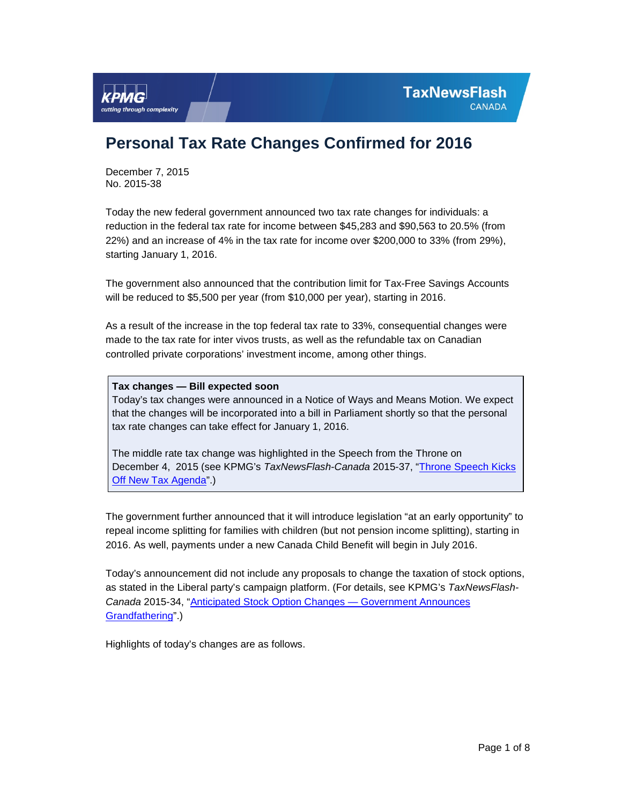December 7, 2015 No. 2015-38

cutting through complexity

Today the new federal government announced two tax rate changes for individuals: a reduction in the federal tax rate for income between \$45,283 and \$90,563 to 20.5% (from 22%) and an increase of 4% in the tax rate for income over \$200,000 to 33% (from 29%), starting January 1, 2016.

The government also announced that the contribution limit for Tax-Free Savings Accounts will be reduced to \$5,500 per year (from \$10,000 per year), starting in 2016.

As a result of the increase in the top federal tax rate to 33%, consequential changes were made to the tax rate for inter vivos trusts, as well as the refundable tax on Canadian controlled private corporations' investment income, among other things.

**Tax changes — Bill expected soon** 

Today's tax changes were announced in a Notice of Ways and Means Motion. We expect that the changes will be incorporated into a bill in Parliament shortly so that the personal tax rate changes can take effect for January 1, 2016.

The middle rate tax change was highlighted in the Speech from the Throne on December 4, 2015 (see KPMG's *TaxNewsFlash-Canada* 2015-37, ["Throne Speech Kicks](http://www.kpmg.com/Ca/en/IssuesAndInsights/ArticlesPublications/TNF/Pages/Throne%20Speech%20Kicks%20Off%20New%20Tax%20Agenda.aspx)  [Off New Tax Agenda"](http://www.kpmg.com/Ca/en/IssuesAndInsights/ArticlesPublications/TNF/Pages/Throne%20Speech%20Kicks%20Off%20New%20Tax%20Agenda.aspx).)

The government further announced that it will introduce legislation "at an early opportunity" to repeal income splitting for families with children (but not pension income splitting), starting in 2016. As well, payments under a new Canada Child Benefit will begin in July 2016.

Today's announcement did not include any proposals to change the taxation of stock options, as stated in the Liberal party's campaign platform. (For details, see KPMG's *TaxNewsFlash-Canada* 2015-34, ["Anticipated Stock Option Changes —](http://www.kpmg.com/Ca/en/IssuesAndInsights/ArticlesPublications/TNF/Pages/Anticipated%20Stock%20Option%20Changes%20%E2%80%94%20Government%20Announces%20Grandfathering.aspx) Government Announces [Grandfathering"](http://www.kpmg.com/Ca/en/IssuesAndInsights/ArticlesPublications/TNF/Pages/Anticipated%20Stock%20Option%20Changes%20%E2%80%94%20Government%20Announces%20Grandfathering.aspx).)

Highlights of today's changes are as follows.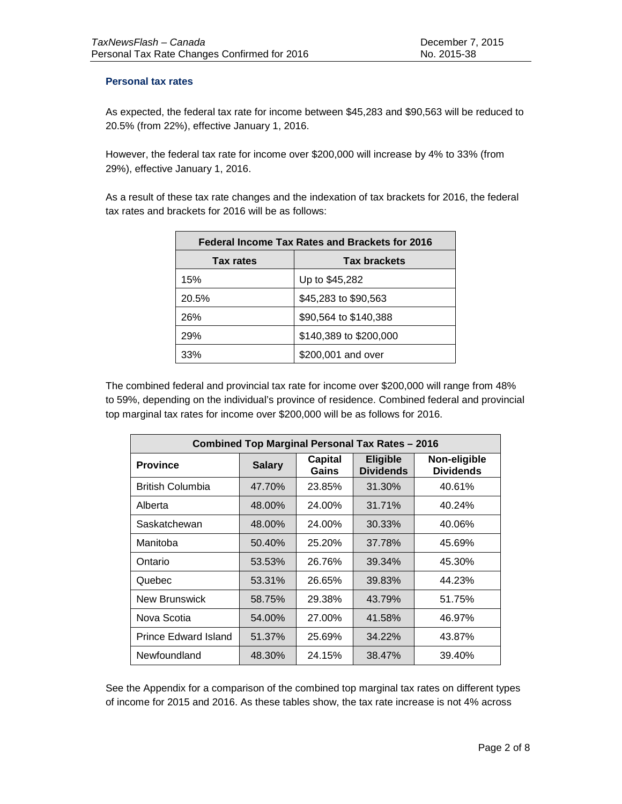## **Personal tax rates**

As expected, the federal tax rate for income between \$45,283 and \$90,563 will be reduced to 20.5% (from 22%), effective January 1, 2016.

However, the federal tax rate for income over \$200,000 will increase by 4% to 33% (from 29%), effective January 1, 2016.

As a result of these tax rate changes and the indexation of tax brackets for 2016, the federal tax rates and brackets for 2016 will be as follows:

| Federal Income Tax Rates and Brackets for 2016 |                        |  |  |
|------------------------------------------------|------------------------|--|--|
| <b>Tax brackets</b><br>Tax rates               |                        |  |  |
| 15%                                            | Up to \$45,282         |  |  |
| 20.5%                                          | \$45,283 to \$90,563   |  |  |
| 26%                                            | \$90,564 to \$140,388  |  |  |
| 29%                                            | \$140,389 to \$200,000 |  |  |
| 33%                                            | \$200,001 and over     |  |  |

The combined federal and provincial tax rate for income over \$200,000 will range from 48% to 59%, depending on the individual's province of residence. Combined federal and provincial top marginal tax rates for income over \$200,000 will be as follows for 2016.

| <b>Combined Top Marginal Personal Tax Rates - 2016</b> |               |                         |                                     |                                  |
|--------------------------------------------------------|---------------|-------------------------|-------------------------------------|----------------------------------|
| <b>Province</b>                                        | <b>Salary</b> | <b>Capital</b><br>Gains | <b>Eligible</b><br><b>Dividends</b> | Non-eligible<br><b>Dividends</b> |
| <b>British Columbia</b>                                | 47.70%        | 23.85%                  | 31.30%                              | 40.61%                           |
| Alberta                                                | 48.00%        | 24.00%                  | 31.71%                              | 40.24%                           |
| Saskatchewan                                           | 48.00%        | 24.00%                  | 30.33%                              | 40.06%                           |
| Manitoba                                               | 50.40%        | 25.20%                  | 37.78%                              | 45.69%                           |
| Ontario                                                | 53.53%        | 26.76%                  | 39.34%                              | 45.30%                           |
| Quebec                                                 | 53.31%        | 26.65%                  | 39.83%                              | 44.23%                           |
| <b>New Brunswick</b>                                   | 58.75%        | 29.38%                  | 43.79%                              | 51.75%                           |
| Nova Scotia                                            | 54.00%        | 27.00%                  | 41.58%                              | 46.97%                           |
| <b>Prince Edward Island</b>                            | 51.37%        | 25.69%                  | 34.22%                              | 43.87%                           |
| Newfoundland                                           | 48.30%        | 24.15%                  | 38.47%                              | 39.40%                           |

See the Appendix for a comparison of the combined top marginal tax rates on different types of income for 2015 and 2016. As these tables show, the tax rate increase is not 4% across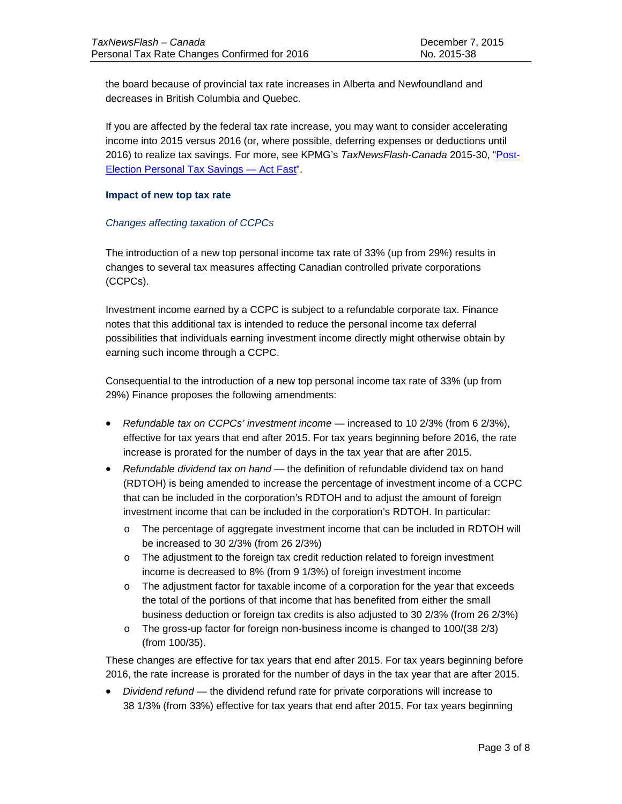the board because of provincial tax rate increases in Alberta and Newfoundland and decreases in British Columbia and Quebec.

If you are affected by the federal tax rate increase, you may want to consider accelerating income into 2015 versus 2016 (or, where possible, deferring expenses or deductions until 2016) to realize tax savings. For more, see KPMG's *TaxNewsFlash-Canada* 2015-30, ["Post-](http://www.kpmg.com/Ca/en/IssuesAndInsights/ArticlesPublications/TNF/Pages/Post-Election-2015-Personal-Tax-Savings-Act-Fast.aspx)[Election Personal Tax Savings —](http://www.kpmg.com/Ca/en/IssuesAndInsights/ArticlesPublications/TNF/Pages/Post-Election-2015-Personal-Tax-Savings-Act-Fast.aspx) Act Fast".

#### **Impact of new top tax rate**

#### *Changes affecting taxation of CCPCs*

The introduction of a new top personal income tax rate of 33% (up from 29%) results in changes to several tax measures affecting Canadian controlled private corporations (CCPCs).

Investment income earned by a CCPC is subject to a refundable corporate tax. Finance notes that this additional tax is intended to reduce the personal income tax deferral possibilities that individuals earning investment income directly might otherwise obtain by earning such income through a CCPC.

Consequential to the introduction of a new top personal income tax rate of 33% (up from 29%) Finance proposes the following amendments:

- *Refundable tax on CCPCs' investment income* increased to 10 2/3% (from 6 2/3%), effective for tax years that end after 2015. For tax years beginning before 2016, the rate increase is prorated for the number of days in the tax year that are after 2015.
- *Refundable dividend tax on hand*  the definition of refundable dividend tax on hand (RDTOH) is being amended to increase the percentage of investment income of a CCPC that can be included in the corporation's RDTOH and to adjust the amount of foreign investment income that can be included in the corporation's RDTOH. In particular:
	- o The percentage of aggregate investment income that can be included in RDTOH will be increased to 30 2/3% (from 26 2/3%)
	- o The adjustment to the foreign tax credit reduction related to foreign investment income is decreased to 8% (from 9 1/3%) of foreign investment income
	- o The adjustment factor for taxable income of a corporation for the year that exceeds the total of the portions of that income that has benefited from either the small business deduction or foreign tax credits is also adjusted to 30 2/3% (from 26 2/3%)
	- $\circ$  The gross-up factor for foreign non-business income is changed to 100/(38 2/3) (from 100/35).

These changes are effective for tax years that end after 2015. For tax years beginning before 2016, the rate increase is prorated for the number of days in the tax year that are after 2015.

• *Dividend refund* — the dividend refund rate for private corporations will increase to 38 1/3% (from 33%) effective for tax years that end after 2015. For tax years beginning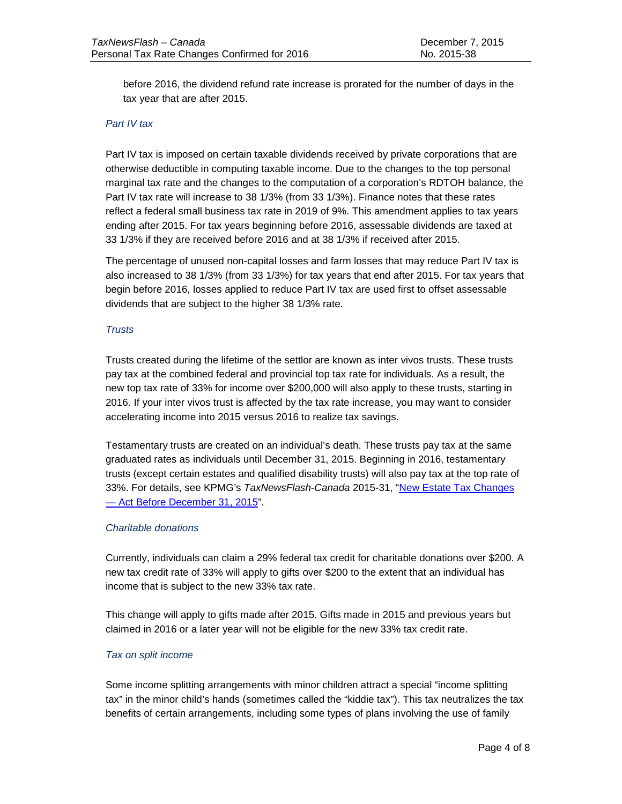before 2016, the dividend refund rate increase is prorated for the number of days in the tax year that are after 2015.

## *Part IV tax*

Part IV tax is imposed on certain taxable dividends received by private corporations that are otherwise deductible in computing taxable income. Due to the changes to the top personal marginal tax rate and the changes to the computation of a corporation's RDTOH balance, the Part IV tax rate will increase to 38 1/3% (from 33 1/3%). Finance notes that these rates reflect a federal small business tax rate in 2019 of 9%. This amendment applies to tax years ending after 2015. For tax years beginning before 2016, assessable dividends are taxed at 33 1/3% if they are received before 2016 and at 38 1/3% if received after 2015.

The percentage of unused non-capital losses and farm losses that may reduce Part IV tax is also increased to 38 1/3% (from 33 1/3%) for tax years that end after 2015. For tax years that begin before 2016, losses applied to reduce Part IV tax are used first to offset assessable dividends that are subject to the higher 38 1/3% rate.

## *Trusts*

Trusts created during the lifetime of the settlor are known as inter vivos trusts. These trusts pay tax at the combined federal and provincial top tax rate for individuals. As a result, the new top tax rate of 33% for income over \$200,000 will also apply to these trusts, starting in 2016. If your inter vivos trust is affected by the tax rate increase, you may want to consider accelerating income into 2015 versus 2016 to realize tax savings.

Testamentary trusts are created on an individual's death. These trusts pay tax at the same graduated rates as individuals until December 31, 2015. Beginning in 2016, testamentary trusts (except certain estates and qualified disability trusts) will also pay tax at the top rate of 33%. For details, see KPMG's *TaxNewsFlash-Canada* 2015-31, ["New Estate Tax Changes](http://www.kpmg.com/Ca/en/IssuesAndInsights/ArticlesPublications/TNF/Pages/New%20Estate%20Tax%20Changes%20%E2%80%94%20Act%20Before%20December%2031,%202015.aspx)  — [Act Before December 31, 2015"](http://www.kpmg.com/Ca/en/IssuesAndInsights/ArticlesPublications/TNF/Pages/New%20Estate%20Tax%20Changes%20%E2%80%94%20Act%20Before%20December%2031,%202015.aspx).

#### *Charitable donations*

Currently, individuals can claim a 29% federal tax credit for charitable donations over \$200. A new tax credit rate of 33% will apply to gifts over \$200 to the extent that an individual has income that is subject to the new 33% tax rate.

This change will apply to gifts made after 2015. Gifts made in 2015 and previous years but claimed in 2016 or a later year will not be eligible for the new 33% tax credit rate.

#### *Tax on split income*

Some income splitting arrangements with minor children attract a special "income splitting tax" in the minor child's hands (sometimes called the "kiddie tax"). This tax neutralizes the tax benefits of certain arrangements, including some types of plans involving the use of family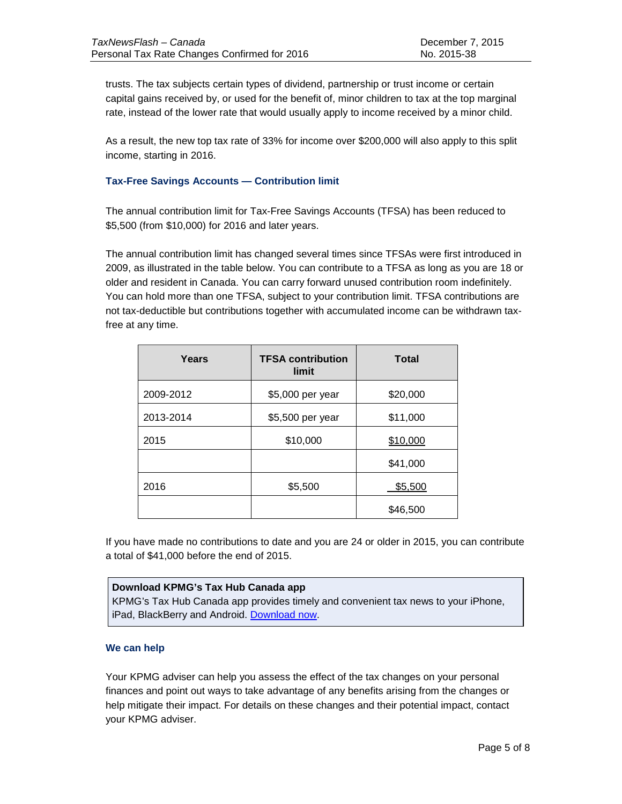trusts. The tax subjects certain types of dividend, partnership or trust income or certain capital gains received by, or used for the benefit of, minor children to tax at the top marginal rate, instead of the lower rate that would usually apply to income received by a minor child.

As a result, the new top tax rate of 33% for income over \$200,000 will also apply to this split income, starting in 2016.

# **Tax-Free Savings Accounts — Contribution limit**

The annual contribution limit for Tax-Free Savings Accounts (TFSA) has been reduced to \$5,500 (from \$10,000) for 2016 and later years.

The annual contribution limit has changed several times since TFSAs were first introduced in 2009, as illustrated in the table below. You can contribute to a TFSA as long as you are 18 or older and resident in Canada. You can carry forward unused contribution room indefinitely. You can hold more than one TFSA, subject to your contribution limit. TFSA contributions are not tax-deductible but contributions together with accumulated income can be withdrawn taxfree at any time.

| Years     | <b>TFSA contribution</b><br>limit | <b>Total</b> |
|-----------|-----------------------------------|--------------|
| 2009-2012 | \$5,000 per year                  | \$20,000     |
| 2013-2014 | \$5,500 per year                  | \$11,000     |
| 2015      | \$10,000                          | \$10,000     |
|           |                                   | \$41,000     |
| 2016      | \$5,500                           | \$5,500      |
|           |                                   | \$46,500     |

If you have made no contributions to date and you are 24 or older in 2015, you can contribute a total of \$41,000 before the end of 2015.

# **Download KPMG's Tax Hub Canada app**

KPMG's Tax Hub Canada app provides timely and convenient tax news to your iPhone, iPad, BlackBerry and Android. [Download now.](http://www.kpmg.ca/taxapp)

# **We can help**

Your KPMG adviser can help you assess the effect of the tax changes on your personal finances and point out ways to take advantage of any benefits arising from the changes or help mitigate their impact. For details on these changes and their potential impact, contact your KPMG adviser.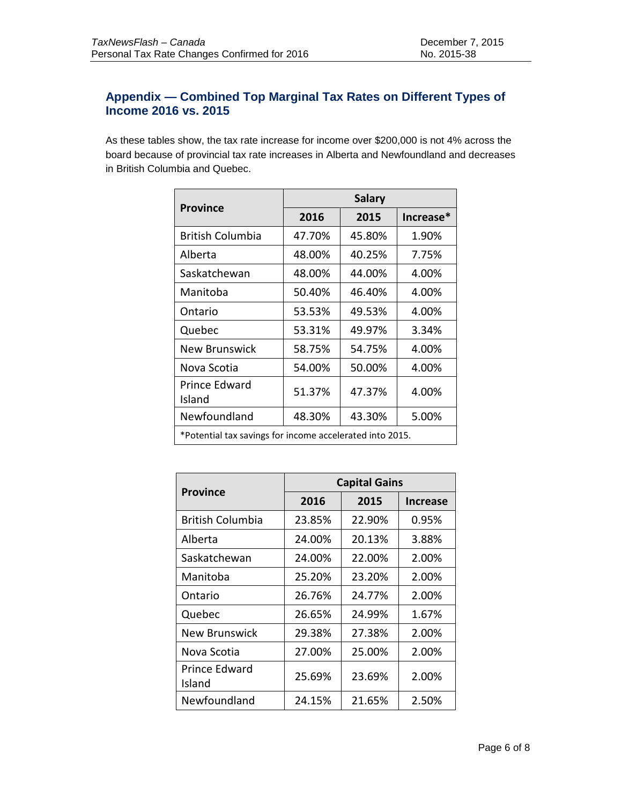# **Appendix — Combined Top Marginal Tax Rates on Different Types of Income 2016 vs. 2015**

As these tables show, the tax rate increase for income over \$200,000 is not 4% across the board because of provincial tax rate increases in Alberta and Newfoundland and decreases in British Columbia and Quebec.

| <b>Province</b>                                          | <b>Salary</b> |        |           |  |
|----------------------------------------------------------|---------------|--------|-----------|--|
|                                                          | 2016          | 2015   | Increase* |  |
| <b>British Columbia</b>                                  | 47.70%        | 45.80% | 1.90%     |  |
| Alberta                                                  | 48.00%        | 40.25% | 7.75%     |  |
| Saskatchewan                                             | 48.00%        | 44.00% | 4.00%     |  |
| Manitoba                                                 | 50.40%        | 46.40% | 4.00%     |  |
| Ontario                                                  | 53.53%        | 49.53% | 4.00%     |  |
| Quebec                                                   | 53.31%        | 49.97% | 3.34%     |  |
| <b>New Brunswick</b>                                     | 58.75%        | 54.75% | 4.00%     |  |
| Nova Scotia                                              | 54.00%        | 50.00% | 4.00%     |  |
| Prince Edward<br>Island                                  | 51.37%        | 47.37% | 4.00%     |  |
| Newfoundland                                             | 48.30%        | 43.30% | 5.00%     |  |
| *Potential tax savings for income accelerated into 2015. |               |        |           |  |

| <b>Province</b>         | <b>Capital Gains</b> |        |                 |  |
|-------------------------|----------------------|--------|-----------------|--|
|                         | 2016                 | 2015   | <b>Increase</b> |  |
| <b>British Columbia</b> | 23.85%               | 22.90% | 0.95%           |  |
| Alberta                 | 24.00%               | 20.13% | 3.88%           |  |
| Saskatchewan            | 24.00%               | 22.00% | 2.00%           |  |
| Manitoba                | 25.20%               | 23.20% | 2.00%           |  |
| Ontario                 | 26.76%               | 24.77% | 2.00%           |  |
| Quebec                  | 26.65%               | 24.99% | 1.67%           |  |
| New Brunswick           | 29.38%               | 27.38% | 2.00%           |  |
| Nova Scotia             | 27.00%               | 25.00% | 2.00%           |  |
| Prince Edward<br>Island | 25.69%               | 23.69% | 2.00%           |  |
| Newfoundland            | 24.15%               | 21.65% | 2.50%           |  |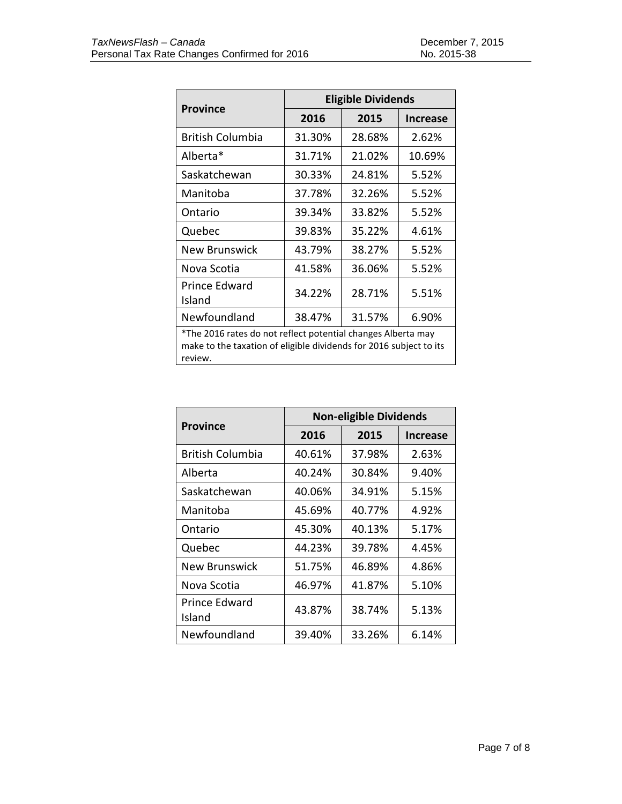| <b>Province</b>                                                                                                                               | <b>Eligible Dividends</b> |        |                 |  |
|-----------------------------------------------------------------------------------------------------------------------------------------------|---------------------------|--------|-----------------|--|
|                                                                                                                                               | 2016                      | 2015   | <b>Increase</b> |  |
| <b>British Columbia</b>                                                                                                                       | 31.30%                    | 28.68% | 2.62%           |  |
| Alberta*                                                                                                                                      | 31.71%                    | 21.02% | 10.69%          |  |
| Saskatchewan                                                                                                                                  | 30.33%                    | 24.81% | 5.52%           |  |
| Manitoba                                                                                                                                      | 37.78%                    | 32.26% | 5.52%           |  |
| Ontario                                                                                                                                       | 39.34%                    | 33.82% | 5.52%           |  |
| Quebec                                                                                                                                        | 39.83%                    | 35.22% | 4.61%           |  |
| New Brunswick                                                                                                                                 | 43.79%                    | 38.27% | 5.52%           |  |
| Nova Scotia                                                                                                                                   | 41.58%                    | 36.06% | 5.52%           |  |
| Prince Edward<br>Island                                                                                                                       | 34.22%                    | 28.71% | 5.51%           |  |
| Newfoundland                                                                                                                                  | 38.47%                    | 31.57% | 6.90%           |  |
| *The 2016 rates do not reflect potential changes Alberta may<br>make to the taxation of eligible dividends for 2016 subject to its<br>review. |                           |        |                 |  |

|                         | <b>Non-eligible Dividends</b> |        |                 |  |
|-------------------------|-------------------------------|--------|-----------------|--|
| <b>Province</b>         | 2016                          | 2015   | <b>Increase</b> |  |
| British Columbia        | 40.61%                        | 37.98% | 2.63%           |  |
| Alberta                 | 40.24%                        | 30.84% | 9.40%           |  |
| Saskatchewan            | 40.06%                        | 34.91% | 5.15%           |  |
| Manitoba                | 45.69%                        | 40.77% | 4.92%           |  |
| Ontario                 | 45.30%                        | 40.13% | 5.17%           |  |
| Quebec                  | 44.23%                        | 39.78% | 4.45%           |  |
| New Brunswick           | 51.75%                        | 46.89% | 4.86%           |  |
| Nova Scotia             | 46.97%                        | 41.87% | 5.10%           |  |
| Prince Edward<br>Island | 43.87%                        | 38.74% | 5.13%           |  |
| Newfoundland            | 39.40%                        | 33.26% | 6.14%           |  |